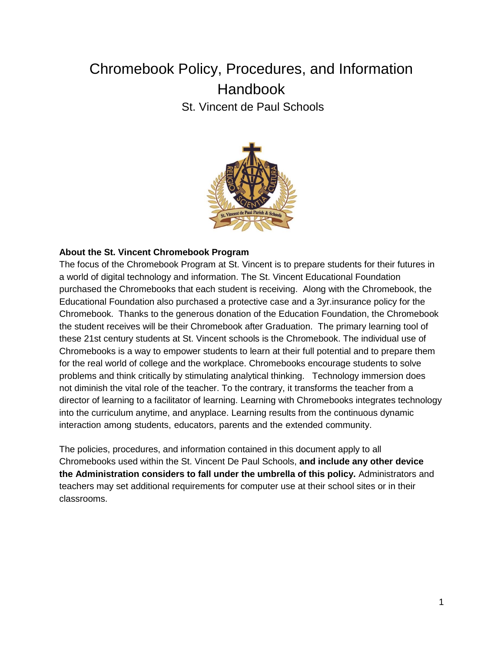# Chromebook Policy, Procedures, and Information **Handbook** St. Vincent de Paul Schools



#### **About the St. Vincent Chromebook Program**

The focus of the Chromebook Program at St. Vincent is to prepare students for their futures in a world of digital technology and information. The St. Vincent Educational Foundation purchased the Chromebooks that each student is receiving. Along with the Chromebook, the Educational Foundation also purchased a protective case and a 3yr.insurance policy for the Chromebook. Thanks to the generous donation of the Education Foundation, the Chromebook the student receives will be their Chromebook after Graduation. The primary learning tool of these 21st century students at St. Vincent schools is the Chromebook. The individual use of Chromebooks is a way to empower students to learn at their full potential and to prepare them for the real world of college and the workplace. Chromebooks encourage students to solve problems and think critically by stimulating analytical thinking. Technology immersion does not diminish the vital role of the teacher. To the contrary, it transforms the teacher from a director of learning to a facilitator of learning. Learning with Chromebooks integrates technology into the curriculum anytime, and anyplace. Learning results from the continuous dynamic interaction among students, educators, parents and the extended community.

The policies, procedures, and information contained in this document apply to all Chromebooks used within the St. Vincent De Paul Schools, **and include any other device the Administration considers to fall under the umbrella of this policy.** Administrators and teachers may set additional requirements for computer use at their school sites or in their classrooms.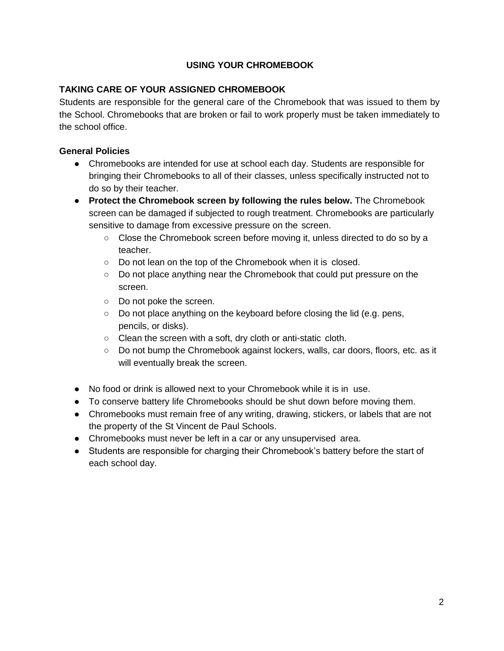# **USING YOUR CHROMEBOOK**

# **TAKING CARE OF YOUR ASSIGNED CHROMEBOOK**

Students are responsible for the general care of the Chromebook that was issued to them by the School. Chromebooks that are broken or fail to work properly must be taken immediately to the school office.

# **General Policies**

- Chromebooks are intended for use at school each day. Students are responsible for bringing their Chromebooks to all of their classes, unless specifically instructed not to do so by their teacher.
- **Protect the Chromebook screen by following the rules below.** The Chromebook screen can be damaged if subjected to rough treatment. Chromebooks are particularly sensitive to damage from excessive pressure on the screen.
	- Close the Chromebook screen before moving it, unless directed to do so by a teacher.
	- Do not lean on the top of the Chromebook when it is closed.
	- Do not place anything near the Chromebook that could put pressure on the screen.
	- Do not poke the screen.
	- Do not place anything on the keyboard before closing the lid (e.g. pens, pencils, or disks).
	- Clean the screen with a soft, dry cloth or anti-static cloth.
	- Do not bump the Chromebook against lockers, walls, car doors, floors, etc. as it will eventually break the screen.
- No food or drink is allowed next to your Chromebook while it is in use.
- To conserve battery life Chromebooks should be shut down before moving them.
- Chromebooks must remain free of any writing, drawing, stickers, or labels that are not the property of the St Vincent de Paul Schools.
- Chromebooks must never be left in a car or any unsupervised area.
- Students are responsible for charging their Chromebook's battery before the start of each school day.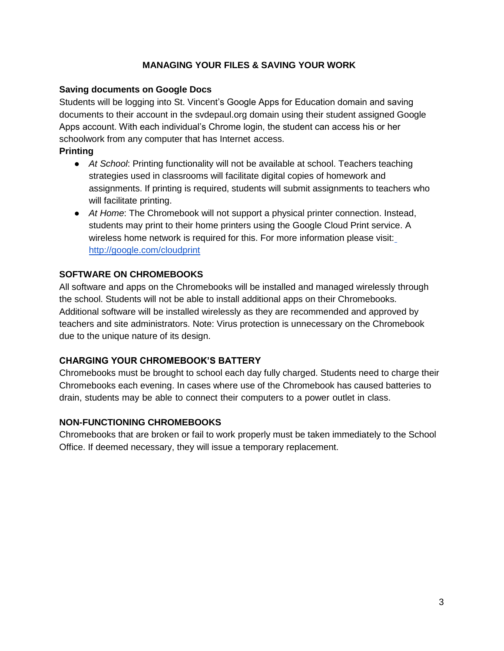# **MANAGING YOUR FILES & SAVING YOUR WORK**

# **Saving documents on Google Docs**

Students will be logging into St. Vincent's Google Apps for Education domain and saving documents to their account in the svdepaul.org domain using their student assigned Google Apps account. With each individual's Chrome login, the student can access his or her schoolwork from any computer that has Internet access.

# **Printing**

- *At School*: Printing functionality will not be available at school. Teachers teaching strategies used in classrooms will facilitate digital copies of homework and assignments. If printing is required, students will submit assignments to teachers who will facilitate printing.
- *At Home*: The Chromebook will not support a physical printer connection. Instead, students may print to their home printers using the Google Cloud Print service. A wireless home network is required for this. For more information please visit[:](http://google.com/cloudprint) <http://google.com/cloudprint>

# **SOFTWARE ON CHROMEBOOKS**

All software and apps on the Chromebooks will be installed and managed wirelessly through the school. Students will not be able to install additional apps on their Chromebooks. Additional software will be installed wirelessly as they are recommended and approved by teachers and site administrators. Note: Virus protection is unnecessary on the Chromebook due to the unique nature of its design.

# **CHARGING YOUR CHROMEBOOK'S BATTERY**

Chromebooks must be brought to school each day fully charged. Students need to charge their Chromebooks each evening. In cases where use of the Chromebook has caused batteries to drain, students may be able to connect their computers to a power outlet in class.

# **NON-FUNCTIONING CHROMEBOOKS**

Chromebooks that are broken or fail to work properly must be taken immediately to the School Office. If deemed necessary, they will issue a temporary replacement.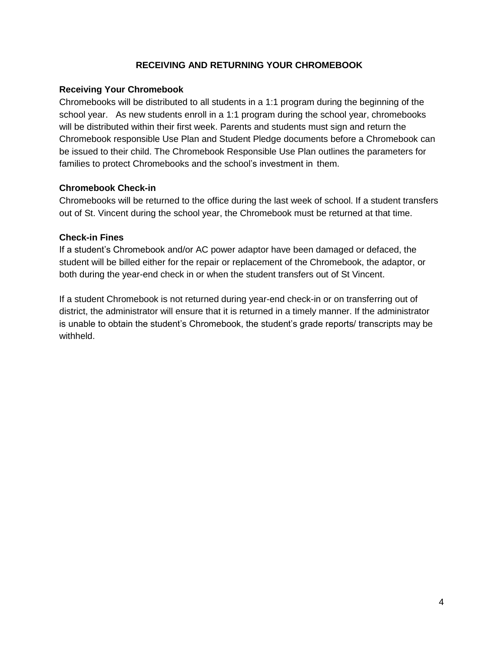# **RECEIVING AND RETURNING YOUR CHROMEBOOK**

#### **Receiving Your Chromebook**

Chromebooks will be distributed to all students in a 1:1 program during the beginning of the school year. As new students enroll in a 1:1 program during the school year, chromebooks will be distributed within their first week. Parents and students must sign and return the Chromebook responsible Use Plan and Student Pledge documents before a Chromebook can be issued to their child. The Chromebook Responsible Use Plan outlines the parameters for families to protect Chromebooks and the school's investment in them.

#### **Chromebook Check-in**

Chromebooks will be returned to the office during the last week of school. If a student transfers out of St. Vincent during the school year, the Chromebook must be returned at that time.

#### **Check-in Fines**

If a student's Chromebook and/or AC power adaptor have been damaged or defaced, the student will be billed either for the repair or replacement of the Chromebook, the adaptor, or both during the year-end check in or when the student transfers out of St Vincent.

If a student Chromebook is not returned during year-end check-in or on transferring out of district, the administrator will ensure that it is returned in a timely manner. If the administrator is unable to obtain the student's Chromebook, the student's grade reports/ transcripts may be withheld.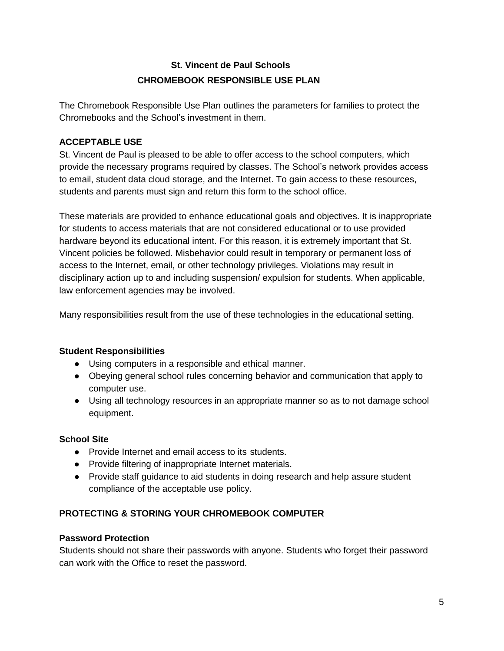# **St. Vincent de Paul Schools CHROMEBOOK RESPONSIBLE USE PLAN**

The Chromebook Responsible Use Plan outlines the parameters for families to protect the Chromebooks and the School's investment in them.

# **ACCEPTABLE USE**

St. Vincent de Paul is pleased to be able to offer access to the school computers, which provide the necessary programs required by classes. The School's network provides access to email, student data cloud storage, and the Internet. To gain access to these resources, students and parents must sign and return this form to the school office.

These materials are provided to enhance educational goals and objectives. It is inappropriate for students to access materials that are not considered educational or to use provided hardware beyond its educational intent. For this reason, it is extremely important that St. Vincent policies be followed. Misbehavior could result in temporary or permanent loss of access to the Internet, email, or other technology privileges. Violations may result in disciplinary action up to and including suspension/ expulsion for students. When applicable, law enforcement agencies may be involved.

Many responsibilities result from the use of these technologies in the educational setting.

# **Student Responsibilities**

- Using computers in a responsible and ethical manner.
- Obeying general school rules concerning behavior and communication that apply to computer use.
- Using all technology resources in an appropriate manner so as to not damage school equipment.

# **School Site**

- Provide Internet and email access to its students.
- Provide filtering of inappropriate Internet materials.
- Provide staff guidance to aid students in doing research and help assure student compliance of the acceptable use policy.

# **PROTECTING & STORING YOUR CHROMEBOOK COMPUTER**

# **Password Protection**

Students should not share their passwords with anyone. Students who forget their password can work with the Office to reset the password.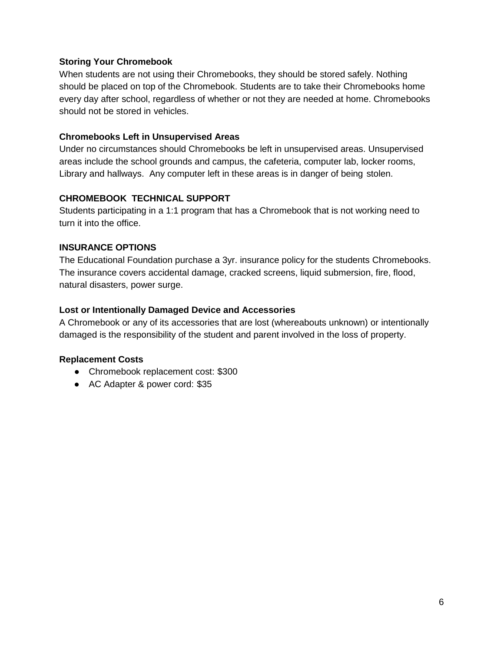# **Storing Your Chromebook**

When students are not using their Chromebooks, they should be stored safely. Nothing should be placed on top of the Chromebook. Students are to take their Chromebooks home every day after school, regardless of whether or not they are needed at home. Chromebooks should not be stored in vehicles.

#### **Chromebooks Left in Unsupervised Areas**

Under no circumstances should Chromebooks be left in unsupervised areas. Unsupervised areas include the school grounds and campus, the cafeteria, computer lab, locker rooms, Library and hallways. Any computer left in these areas is in danger of being stolen.

#### **CHROMEBOOK TECHNICAL SUPPORT**

Students participating in a 1:1 program that has a Chromebook that is not working need to turn it into the office.

#### **INSURANCE OPTIONS**

The Educational Foundation purchase a 3yr. insurance policy for the students Chromebooks. The insurance covers accidental damage, cracked screens, liquid submersion, fire, flood, natural disasters, power surge.

### **Lost or Intentionally Damaged Device and Accessories**

A Chromebook or any of its accessories that are lost (whereabouts unknown) or intentionally damaged is the responsibility of the student and parent involved in the loss of property.

# **Replacement Costs**

- Chromebook replacement cost: \$300
- AC Adapter & power cord: \$35